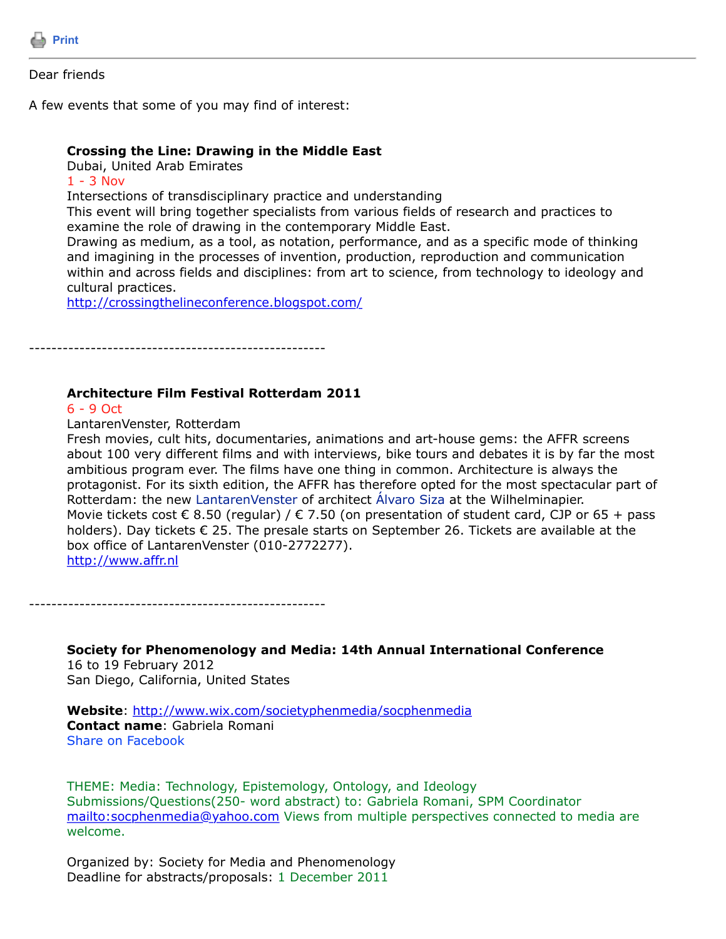

## Dear friends

A few events that some of you may find of interest:

## **Crossing the Line: Drawing in the Middle East**

Dubai, United Arab Emirates

 $1 - 3$  Nov

Intersections of transdisciplinary practice and understanding

This event will bring together specialists from various fields of research and practices to examine the role of drawing in the contemporary Middle East.

Drawing as medium, as a tool, as notation, performance, and as a specific mode of thinking and imagining in the processes of invention, production, reproduction and communication within and across fields and disciplines: from art to science, from technology to ideology and cultural practices.

<http://crossingthelineconference.blogspot.com/>

-----------------------------------------------------

## **Architecture Film Festival Rotterdam 2011**

6 - 9 Oct

LantarenVenster, Rotterdam

Fresh movies, cult hits, documentaries, animations and art-house gems: the AFFR screens about 100 very different films and with interviews, bike tours and debates it is by far the most ambitious program ever. The films have one thing in common. Architecture is always the protagonist. For its sixth edition, the AFFR has therefore opted for the most spectacular part of Rotterdam: the new LantarenVenster of architect Álvaro Siza at the Wilhelminapier. Movie tickets cost  $\epsilon$  8.50 (regular) /  $\epsilon$  7.50 (on presentation of student card, CJP or 65 + pass holders). Day tickets € 25. The presale starts on September 26. Tickets are available at the box office of LantarenVenster (010-2772277). [http://www.affr.nl](http://www.affr.nl/)

-----------------------------------------------------

**Society for Phenomenology and Media: 14th Annual International Conference** 16 to 19 February 2012 San Diego, California, United States

**Website**:<http://www.wix.com/societyphenmedia/socphenmedia> **Contact name**: Gabriela Romani Share on Facebook

THEME: Media: Technology, Epistemology, Ontology, and Ideology Submissions/Questions(250- word abstract) to: Gabriela Romani, SPM Coordinator <mailto:socphenmedia@yahoo.com>Views from multiple perspectives connected to media are welcome.

Organized by: Society for Media and Phenomenology Deadline for abstracts/proposals: 1 December 2011